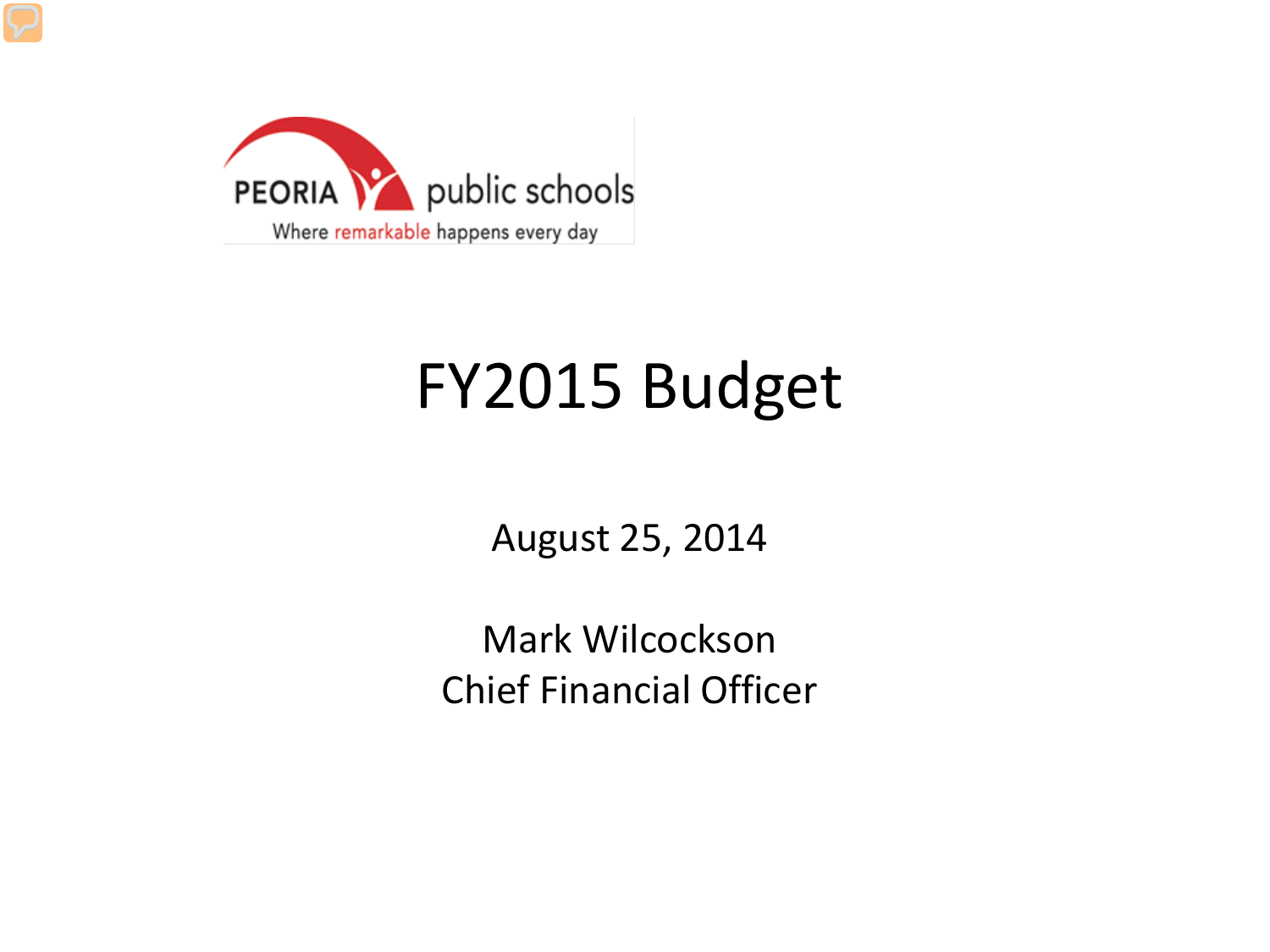

### FY2015 Budget

August 25, 2014

Mark Wilcockson Chief Financial Officer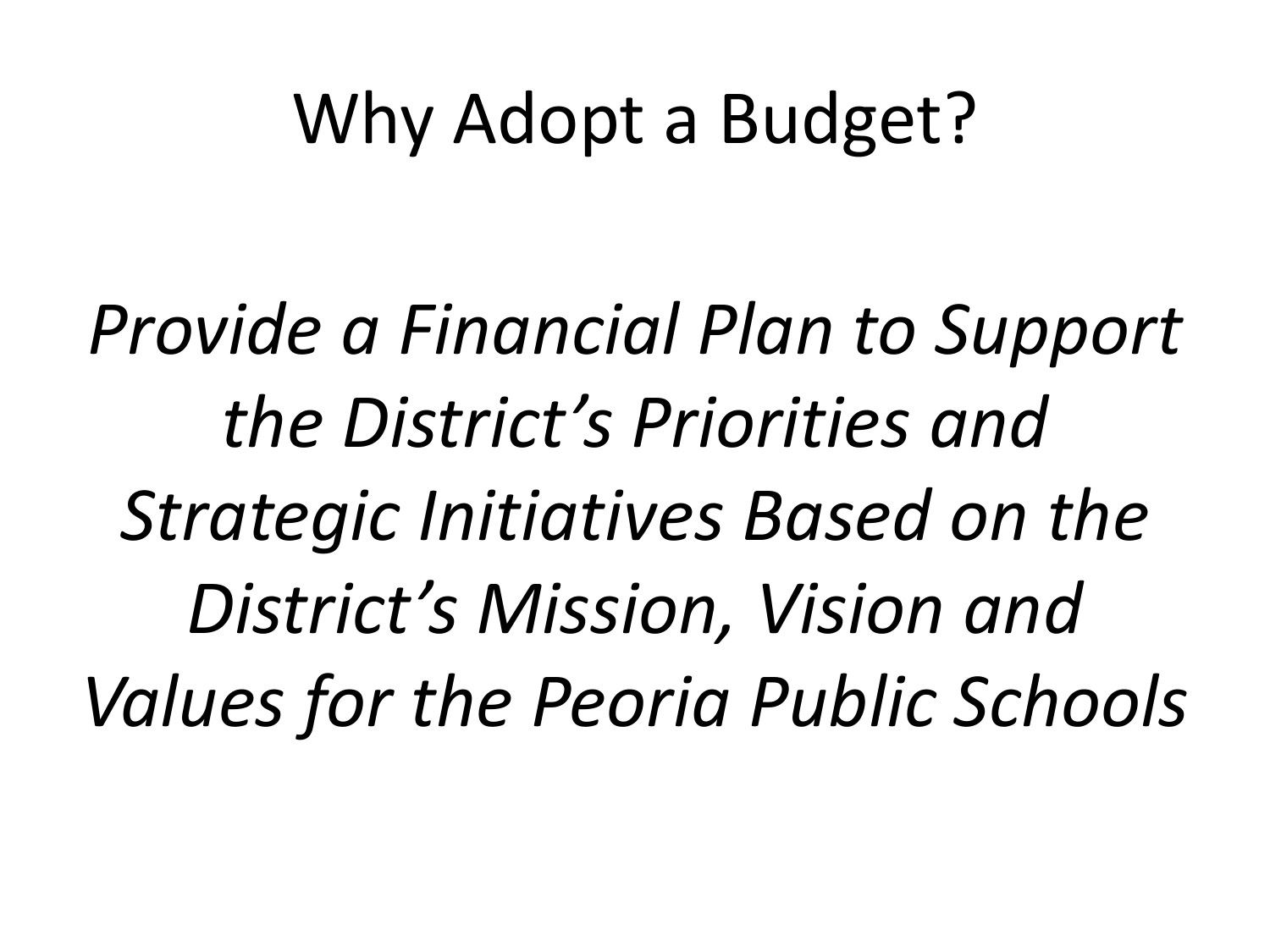# Why Adopt a Budget?

*Provide a Financial Plan to Support the District's Priorities and Strategic Initiatives Based on the District's Mission, Vision and Values for the Peoria Public Schools*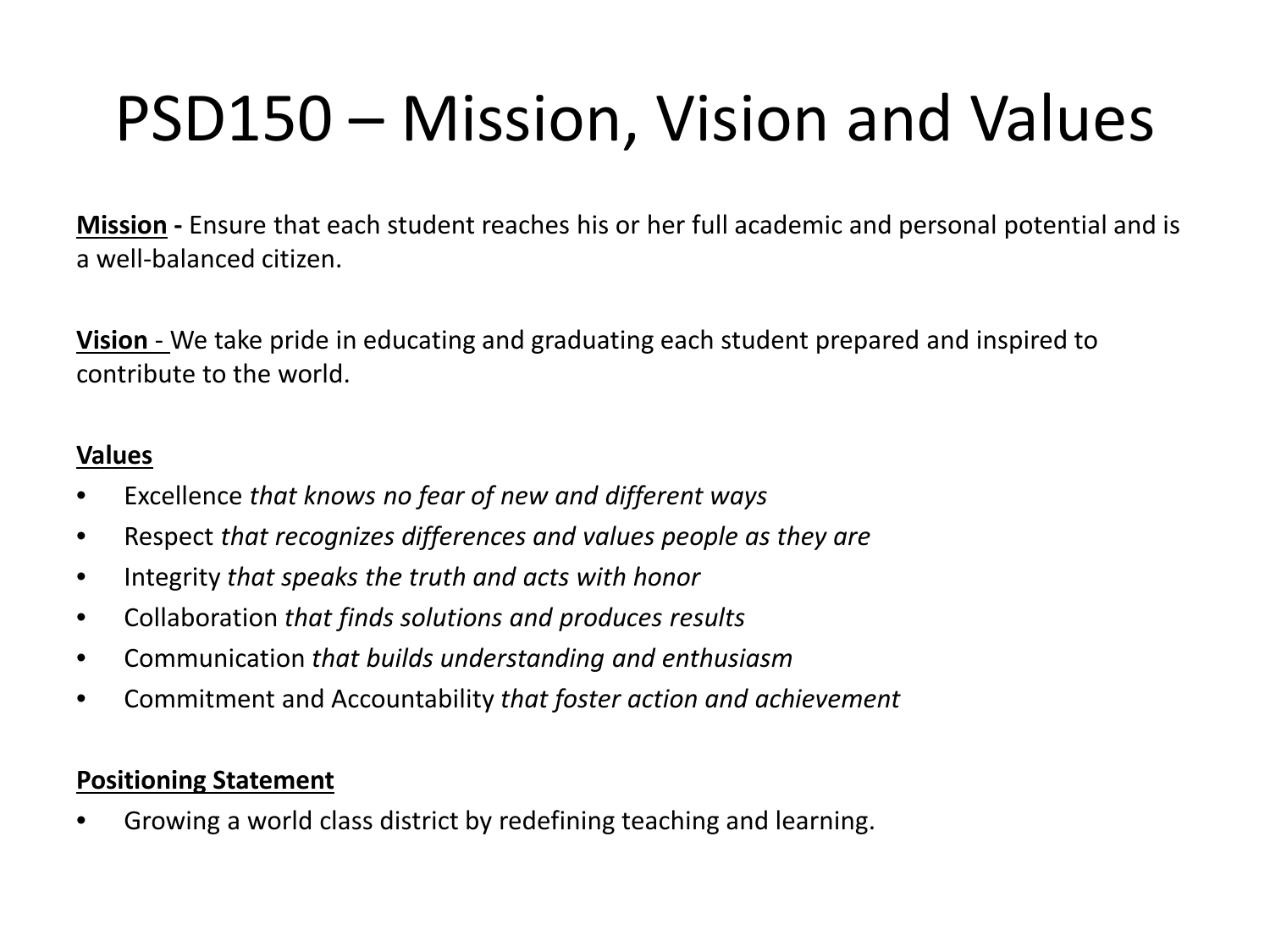## PSD150 – Mission, Vision and Values

**Mission -** Ensure that each student reaches his or her full academic and personal potential and is a well-balanced citizen.

**Vision** - We take pride in educating and graduating each student prepared and inspired to contribute to the world.

#### **Values**

- Excellence *that knows no fear of new and different ways*
- Respect *that recognizes differences and values people as they are*
- Integrity *that speaks the truth and acts with honor*
- Collaboration *that finds solutions and produces results*
- Communication *that builds understanding and enthusiasm*
- Commitment and Accountability *that foster action and achievement*

#### **Positioning Statement**

• Growing a world class district by redefining teaching and learning.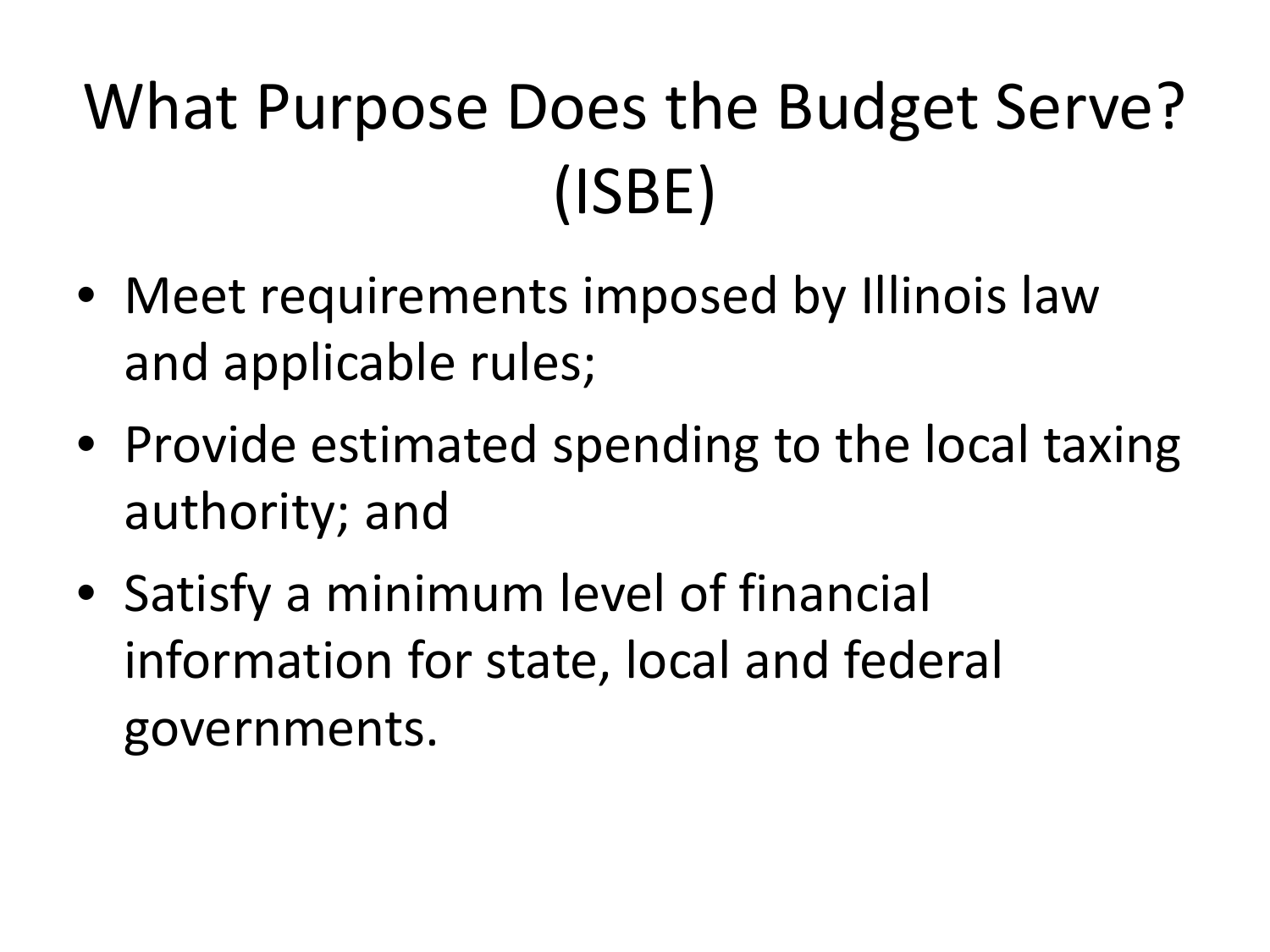# What Purpose Does the Budget Serve? (ISBE)

- Meet requirements imposed by Illinois law and applicable rules;
- Provide estimated spending to the local taxing authority; and
- Satisfy a minimum level of financial information for state, local and federal governments.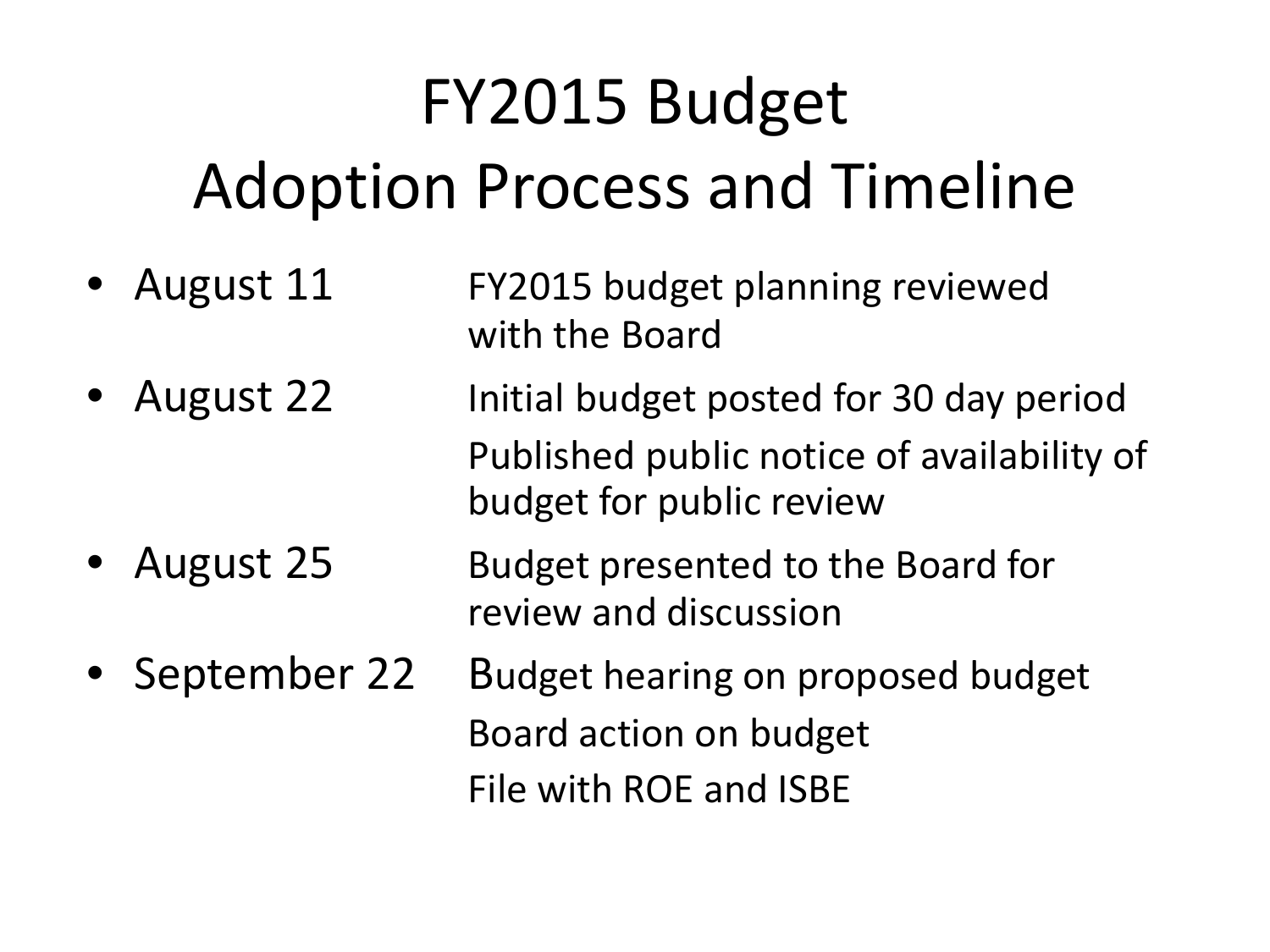# FY2015 Budget Adoption Process and Timeline

- August 11 FY2015 budget planning reviewed with the Board
- August 22 Initial budget posted for 30 day period Published public notice of availability of budget for public review
- August 25 Budget presented to the Board for review and discussion
- September 22 Budget hearing on proposed budget Board action on budget File with ROE and ISBE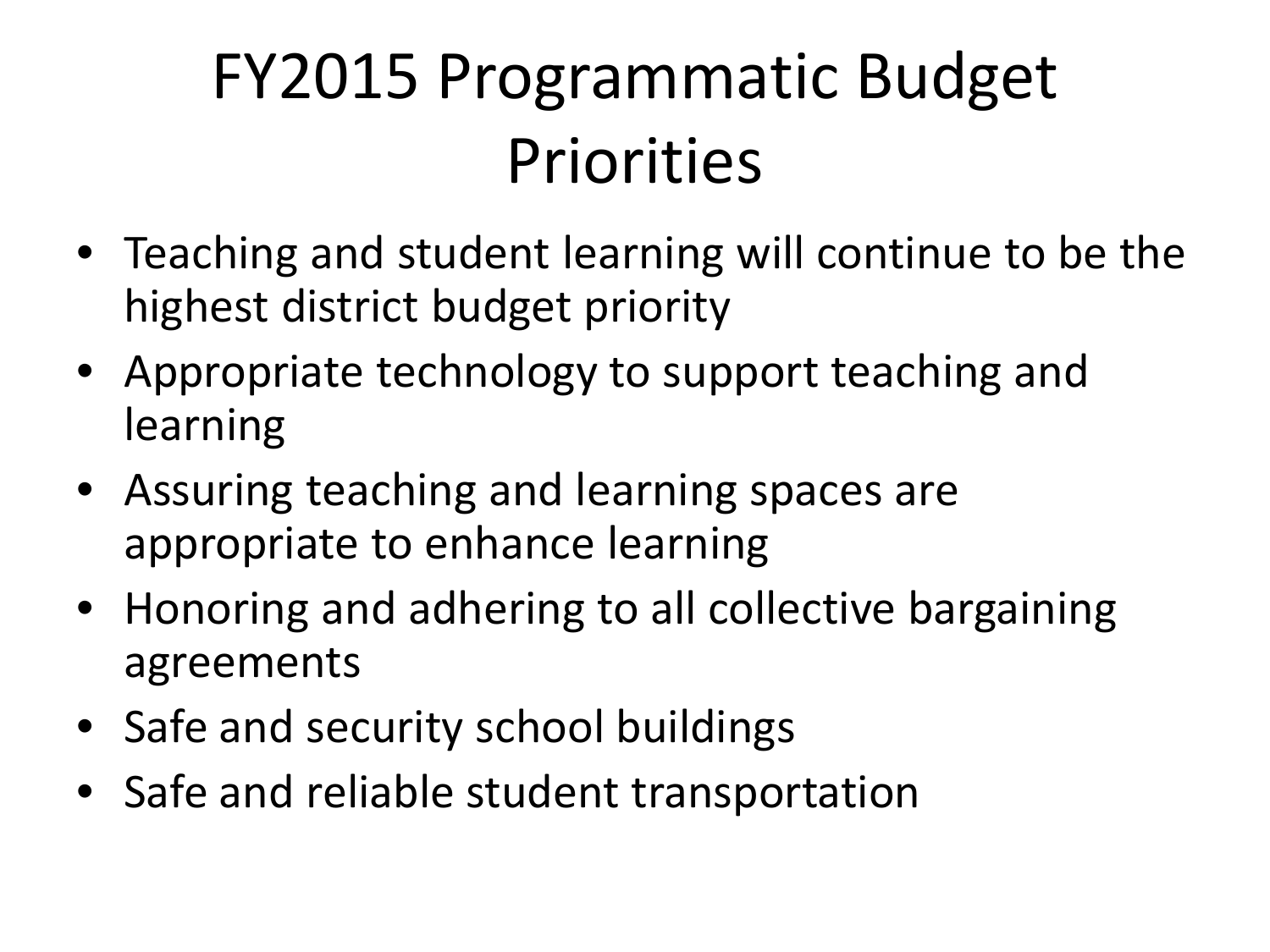# FY2015 Programmatic Budget Priorities

- Teaching and student learning will continue to be the highest district budget priority
- Appropriate technology to support teaching and learning
- Assuring teaching and learning spaces are appropriate to enhance learning
- Honoring and adhering to all collective bargaining agreements
- Safe and security school buildings
- Safe and reliable student transportation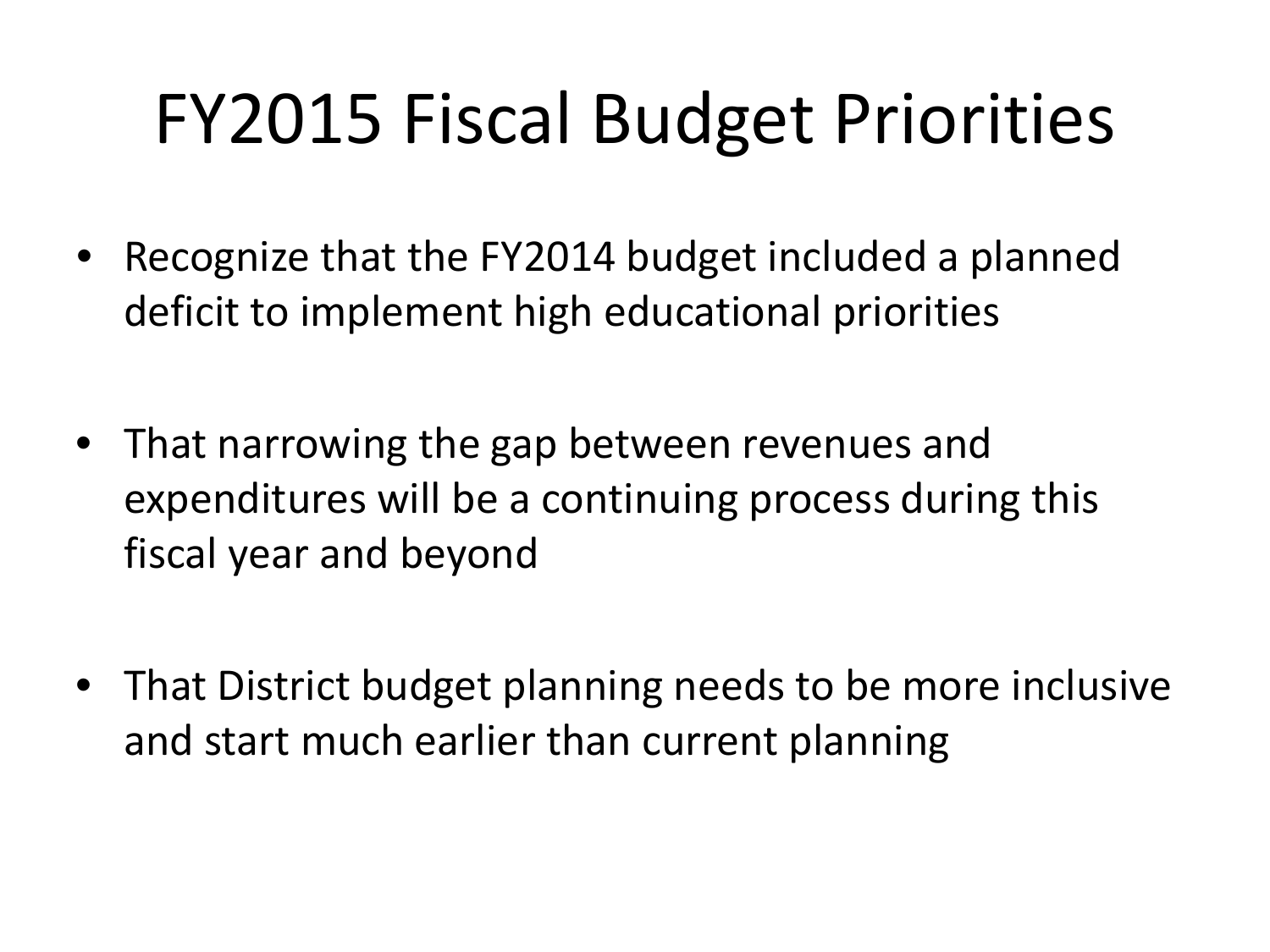# FY2015 Fiscal Budget Priorities

- Recognize that the FY2014 budget included a planned deficit to implement high educational priorities
- That narrowing the gap between revenues and expenditures will be a continuing process during this fiscal year and beyond
- That District budget planning needs to be more inclusive and start much earlier than current planning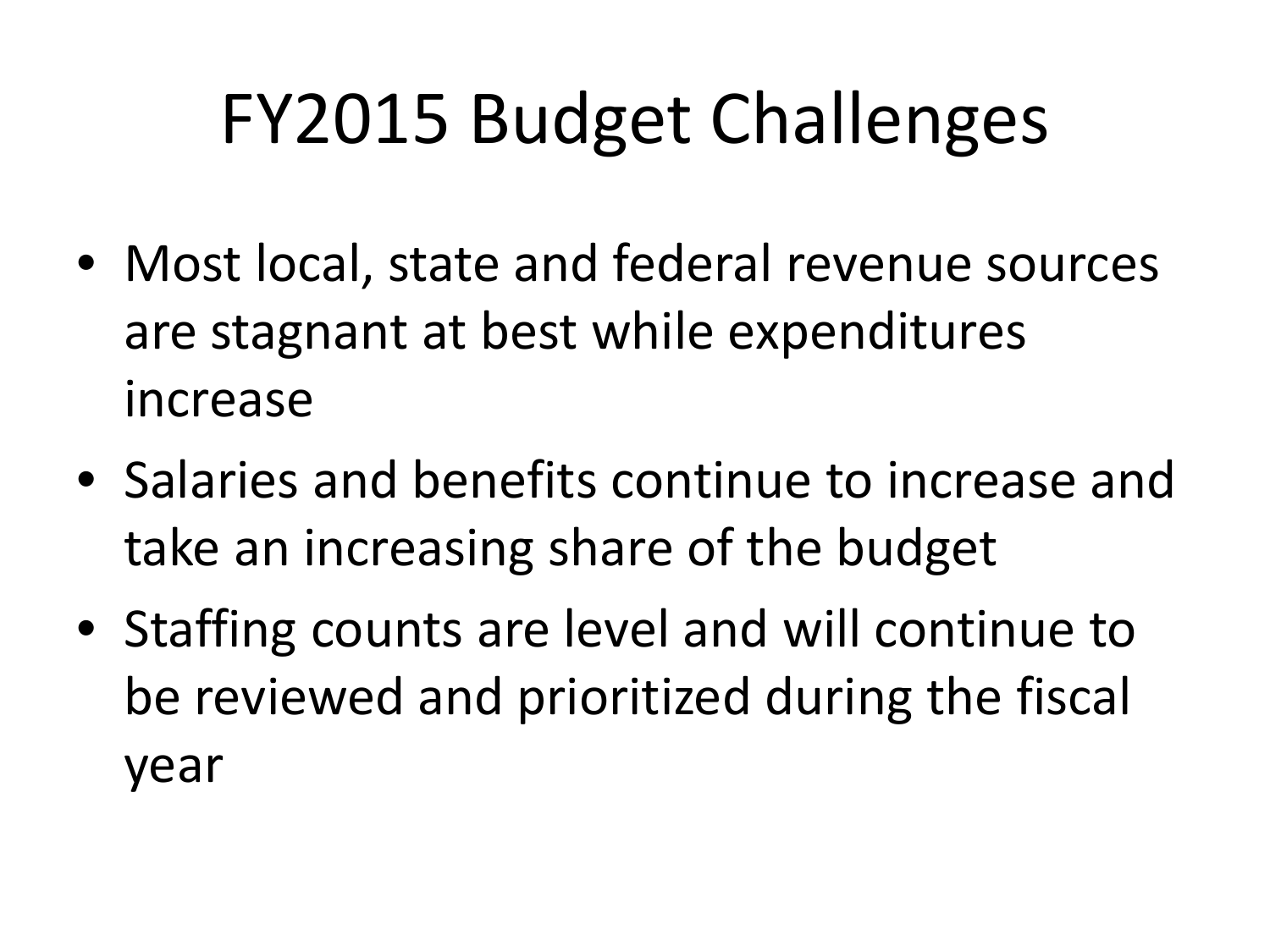# FY2015 Budget Challenges

- Most local, state and federal revenue sources are stagnant at best while expenditures increase
- Salaries and benefits continue to increase and take an increasing share of the budget
- Staffing counts are level and will continue to be reviewed and prioritized during the fiscal year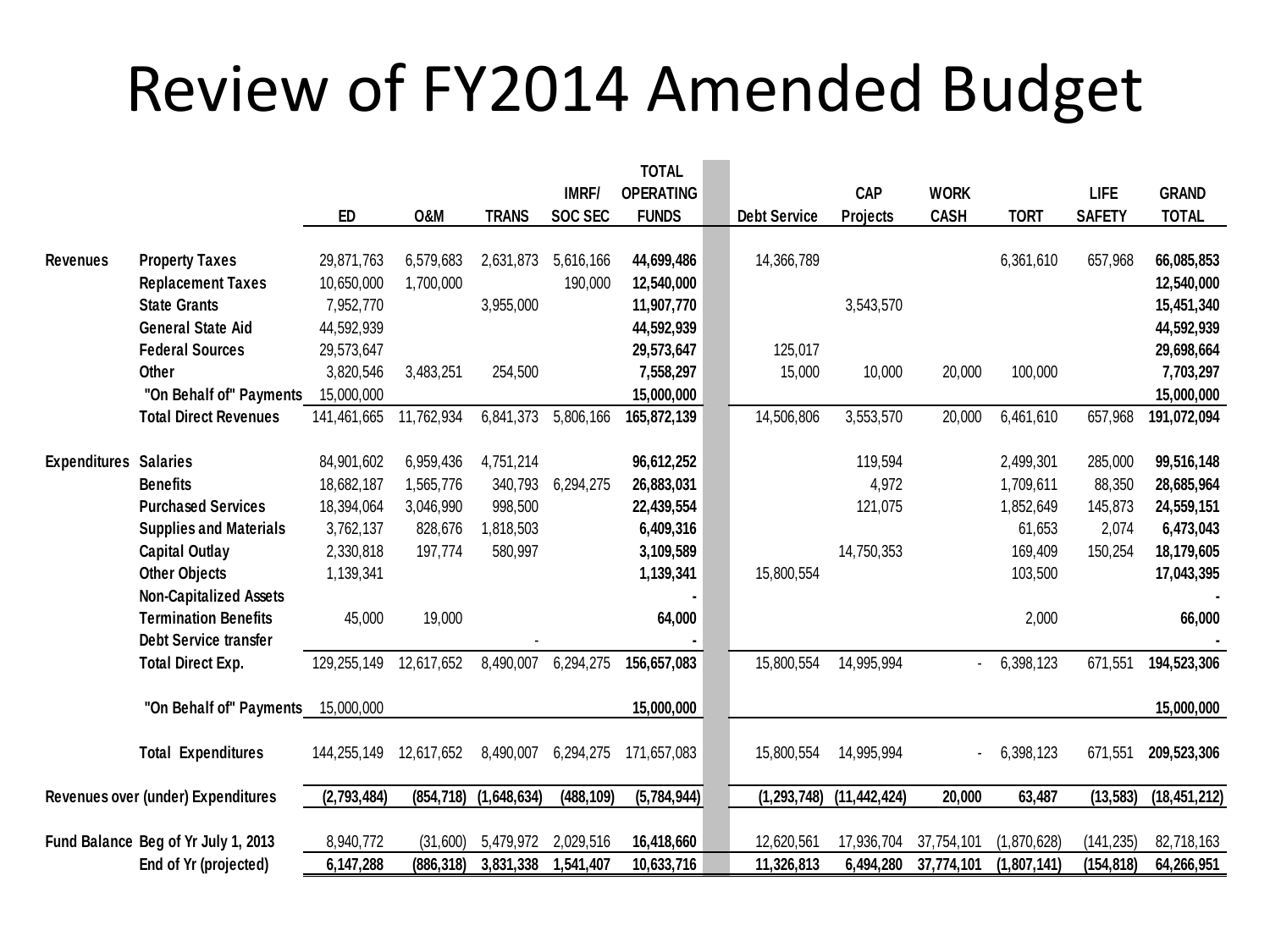### Review of FY2014 Amended Budget

|                                    |                                     |             |                |              |                | <b>TOTAL</b>     |                     |                |                          |             |               |                |
|------------------------------------|-------------------------------------|-------------|----------------|--------------|----------------|------------------|---------------------|----------------|--------------------------|-------------|---------------|----------------|
|                                    |                                     |             |                |              | <b>IMRF/</b>   | <b>OPERATING</b> |                     | <b>CAP</b>     | <b>WORK</b>              |             | <b>LIFE</b>   | <b>GRAND</b>   |
|                                    |                                     | ED          | <b>0&amp;M</b> | <b>TRANS</b> | <b>SOC SEC</b> | <b>FUNDS</b>     | <b>Debt Service</b> | Projects       | <b>CASH</b>              | <b>TORT</b> | <b>SAFETY</b> | <b>TOTAL</b>   |
|                                    |                                     |             |                |              |                |                  |                     |                |                          |             |               |                |
| <b>Revenues</b>                    | <b>Property Taxes</b>               | 29,871,763  | 6,579,683      | 2,631,873    | 5,616,166      | 44,699,486       | 14,366,789          |                |                          | 6,361,610   | 657,968       | 66,085,853     |
|                                    | <b>Replacement Taxes</b>            | 10,650,000  | 1,700,000      |              | 190,000        | 12,540,000       |                     |                |                          |             |               | 12,540,000     |
|                                    | <b>State Grants</b>                 | 7,952,770   |                | 3,955,000    |                | 11,907,770       |                     | 3,543,570      |                          |             |               | 15,451,340     |
|                                    | <b>General State Aid</b>            | 44,592,939  |                |              |                | 44,592,939       |                     |                |                          |             |               | 44,592,939     |
|                                    | <b>Federal Sources</b>              | 29,573,647  |                |              |                | 29,573,647       | 125,017             |                |                          |             |               | 29,698,664     |
|                                    | Other                               | 3,820,546   | 3,483,251      | 254,500      |                | 7,558,297        | 15,000              | 10,000         | 20,000                   | 100,000     |               | 7,703,297      |
|                                    | "On Behalf of" Payments             | 15,000,000  |                |              |                | 15,000,000       |                     |                |                          |             |               | 15,000,000     |
|                                    | <b>Total Direct Revenues</b>        | 141,461,665 | 11,762,934     | 6,841,373    | 5,806,166      | 165,872,139      | 14,506,806          | 3,553,570      | 20,000                   | 6,461,610   | 657,968       | 191,072,094    |
|                                    |                                     |             |                |              |                |                  |                     |                |                          |             |               |                |
| <b>Expenditures Salaries</b>       |                                     | 84,901,602  | 6,959,436      | 4,751,214    |                | 96,612,252       |                     | 119,594        |                          | 2,499,301   | 285,000       | 99,516,148     |
|                                    | <b>Benefits</b>                     | 18,682,187  | 1,565,776      | 340,793      | 6,294,275      | 26,883,031       |                     | 4,972          |                          | 1,709,611   | 88,350        | 28,685,964     |
|                                    | <b>Purchased Services</b>           | 18,394,064  | 3,046,990      | 998,500      |                | 22,439,554       |                     | 121,075        |                          | 1,852,649   | 145,873       | 24,559,151     |
|                                    | <b>Supplies and Materials</b>       | 3,762,137   | 828,676        | 1,818,503    |                | 6,409,316        |                     |                |                          | 61,653      | 2,074         | 6,473,043      |
|                                    | <b>Capital Outlay</b>               | 2,330,818   | 197,774        | 580,997      |                | 3,109,589        |                     | 14,750,353     |                          | 169,409     | 150,254       | 18,179,605     |
|                                    | <b>Other Objects</b>                | 1,139,341   |                |              |                | 1,139,341        | 15,800,554          |                |                          | 103,500     |               | 17,043,395     |
|                                    | <b>Non-Capitalized Assets</b>       |             |                |              |                |                  |                     |                |                          |             |               |                |
|                                    | <b>Termination Benefits</b>         | 45,000      | 19,000         |              |                | 64,000           |                     |                |                          | 2,000       |               | 66,000         |
|                                    | Debt Service transfer               |             |                |              |                |                  |                     |                |                          |             |               |                |
|                                    | <b>Total Direct Exp.</b>            | 129,255,149 | 12,617,652     | 8,490,007    | 6,294,275      | 156,657,083      | 15,800,554          | 14,995,994     | $\overline{\phantom{a}}$ | 6,398,123   | 671,551       | 194,523,306    |
|                                    | "On Behalf of" Payments             | 15,000,000  |                |              |                | 15,000,000       |                     |                |                          |             |               | 15,000,000     |
|                                    | <b>Total Expenditures</b>           | 144,255,149 | 12,617,652     | 8,490,007    | 6,294,275      | 171,657,083      | 15,800,554          | 14,995,994     | $\overline{\phantom{a}}$ | 6,398,123   | 671,551       | 209,523,306    |
| Revenues over (under) Expenditures |                                     | (2,793,484) | (854, 718)     | (1,648,634)  | (488, 109)     | (5,784,944)      | (1, 293, 748)       | (11, 442, 424) | 20,000                   | 63,487      | (13, 583)     | (18, 451, 212) |
|                                    |                                     |             |                |              |                |                  |                     |                |                          |             |               |                |
|                                    | Fund Balance Beg of Yr July 1, 2013 | 8,940,772   | (31,600)       | 5,479,972    | 2,029,516      | 16,418,660       | 12,620,561          | 17,936,704     | 37,754,101               | (1,870,628) | (141, 235)    | 82,718,163     |
|                                    | End of Yr (projected)               | 6,147,288   | (886, 318)     | 3,831,338    | 1,541,407      | 10,633,716       | 11,326,813          | 6,494,280      | 37,774,101               | (1,807,141) | (154, 818)    | 64,266,951     |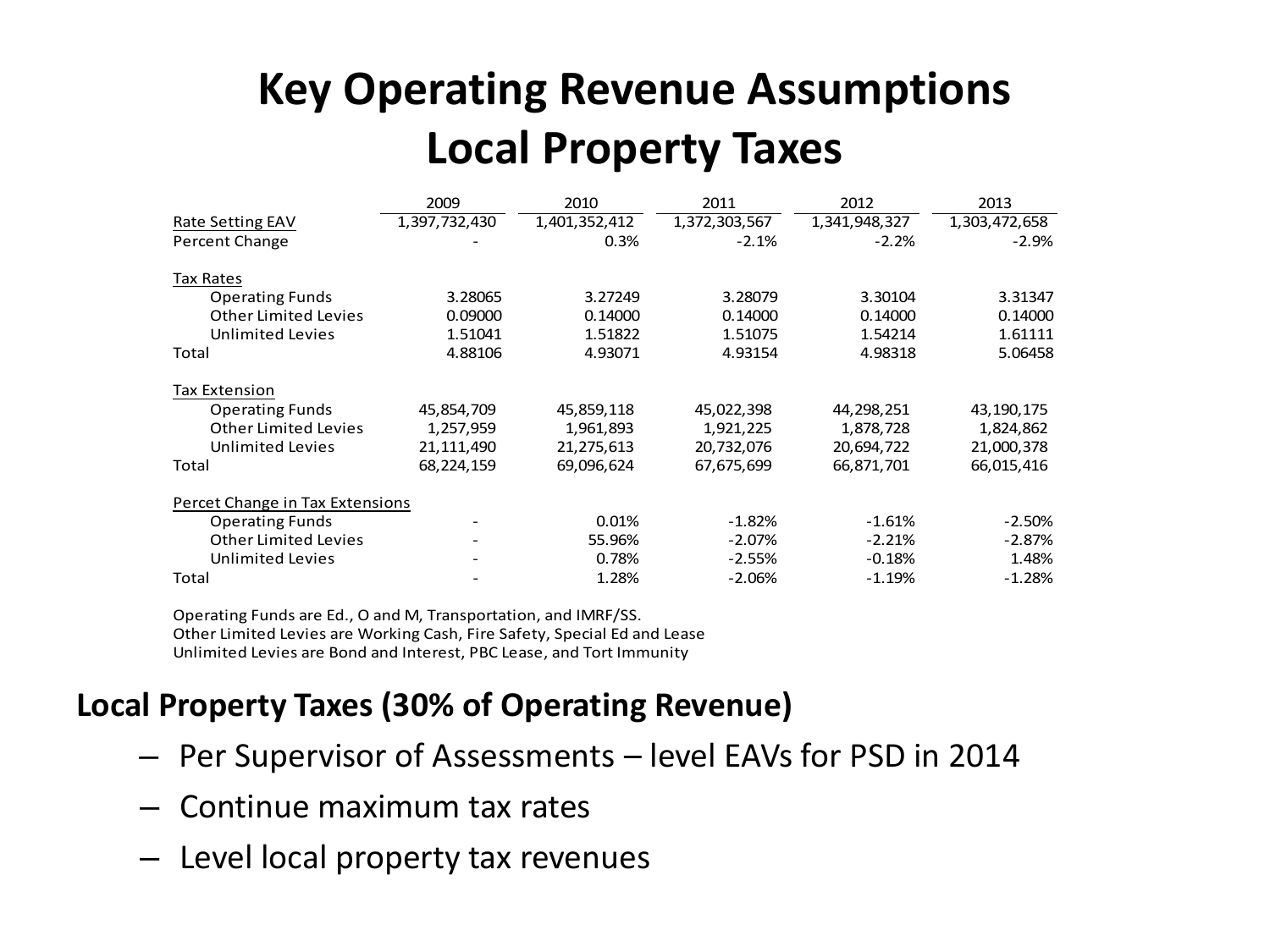#### **Key Operating Revenue Assumptions Local Property Taxes**

|                                 | 2009          | 2010          | 2011          | 2012          | 2013          |
|---------------------------------|---------------|---------------|---------------|---------------|---------------|
| Rate Setting EAV                | 1,397,732,430 | 1,401,352,412 | 1,372,303,567 | 1,341,948,327 | 1,303,472,658 |
| Percent Change                  |               | 0.3%          | $-2.1%$       | $-2.2%$       | $-2.9%$       |
| Tax Rates                       |               |               |               |               |               |
| <b>Operating Funds</b>          | 3.28065       | 3.27249       | 3.28079       | 3.30104       | 3.31347       |
| <b>Other Limited Levies</b>     | 0.09000       | 0.14000       | 0.14000       | 0.14000       | 0.14000       |
| <b>Unlimited Levies</b>         | 1.51041       | 1.51822       | 1.51075       | 1.54214       | 1.61111       |
| Total                           | 4.88106       | 4.93071       | 4.93154       | 4.98318       | 5.06458       |
| Tax Extension                   |               |               |               |               |               |
| <b>Operating Funds</b>          | 45,854,709    | 45,859,118    | 45,022,398    | 44,298,251    | 43,190,175    |
| Other Limited Levies            | 1,257,959     | 1,961,893     | 1,921,225     | 1,878,728     | 1,824,862     |
| <b>Unlimited Levies</b>         | 21,111,490    | 21,275,613    | 20,732,076    | 20,694,722    | 21,000,378    |
| Total                           | 68,224,159    | 69,096,624    | 67,675,699    | 66,871,701    | 66,015,416    |
| Percet Change in Tax Extensions |               |               |               |               |               |
| <b>Operating Funds</b>          |               | 0.01%         | $-1.82%$      | $-1.61%$      | $-2.50%$      |
| <b>Other Limited Levies</b>     |               | 55.96%        | $-2.07\%$     | $-2.21%$      | $-2.87%$      |
| <b>Unlimited Levies</b>         |               | 0.78%         | $-2.55%$      | $-0.18%$      | 1.48%         |
| Total                           |               | 1.28%         | $-2.06%$      | $-1.19%$      | $-1.28%$      |

Operating Funds are Ed., O and M, Transportation, and IMRF/SS. Other Limited Levies are Working Cash, Fire Safety, Special Ed and Lease Unlimited Levies are Bond and Interest, PBC Lease, and Tort Immunity

#### **Local Property Taxes (30% of Operating Revenue)**

- Per Supervisor of Assessments level EAVs for PSD in 2014
- Continue maximum tax rates
- Level local property tax revenues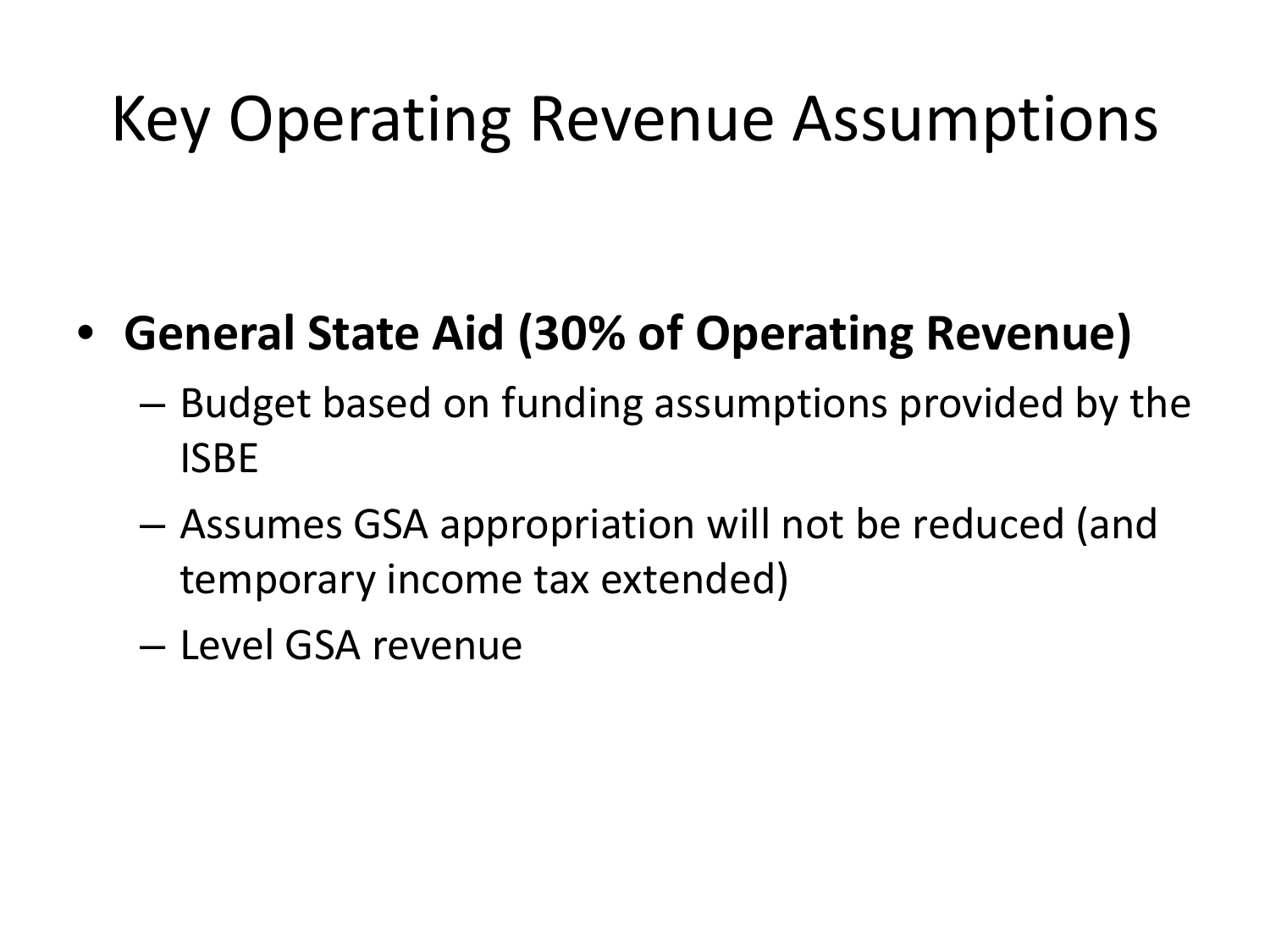### Key Operating Revenue Assumptions

#### • **General State Aid (30% of Operating Revenue)**

- Budget based on funding assumptions provided by the ISBE
- Assumes GSA appropriation will not be reduced (and temporary income tax extended)
- Level GSA revenue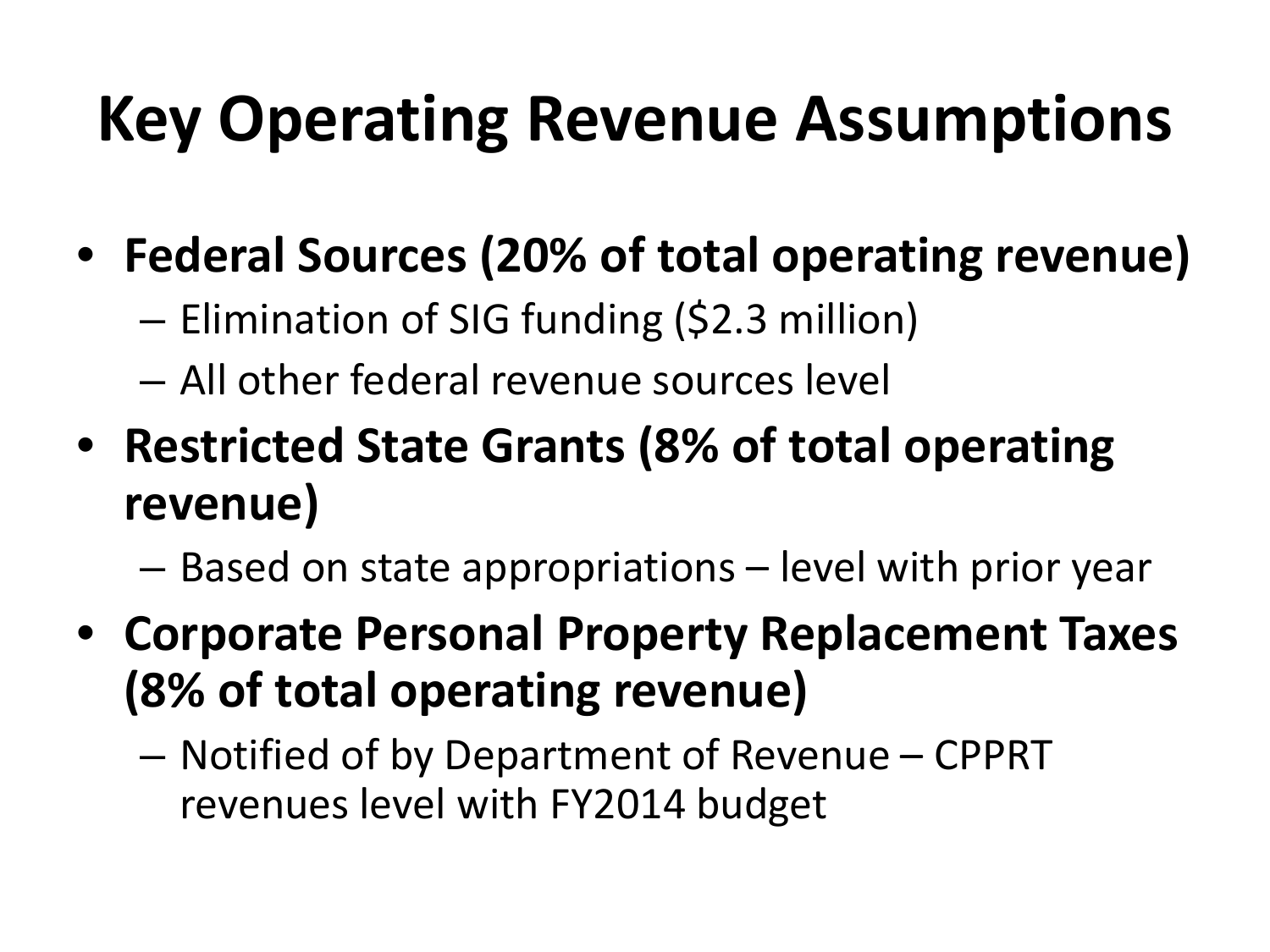## **Key Operating Revenue Assumptions**

- **Federal Sources (20% of total operating revenue)**
	- Elimination of SIG funding (\$2.3 million)
	- All other federal revenue sources level
- **Restricted State Grants (8% of total operating revenue)**
	- Based on state appropriations level with prior year
- **Corporate Personal Property Replacement Taxes (8% of total operating revenue)**
	- Notified of by Department of Revenue CPPRT revenues level with FY2014 budget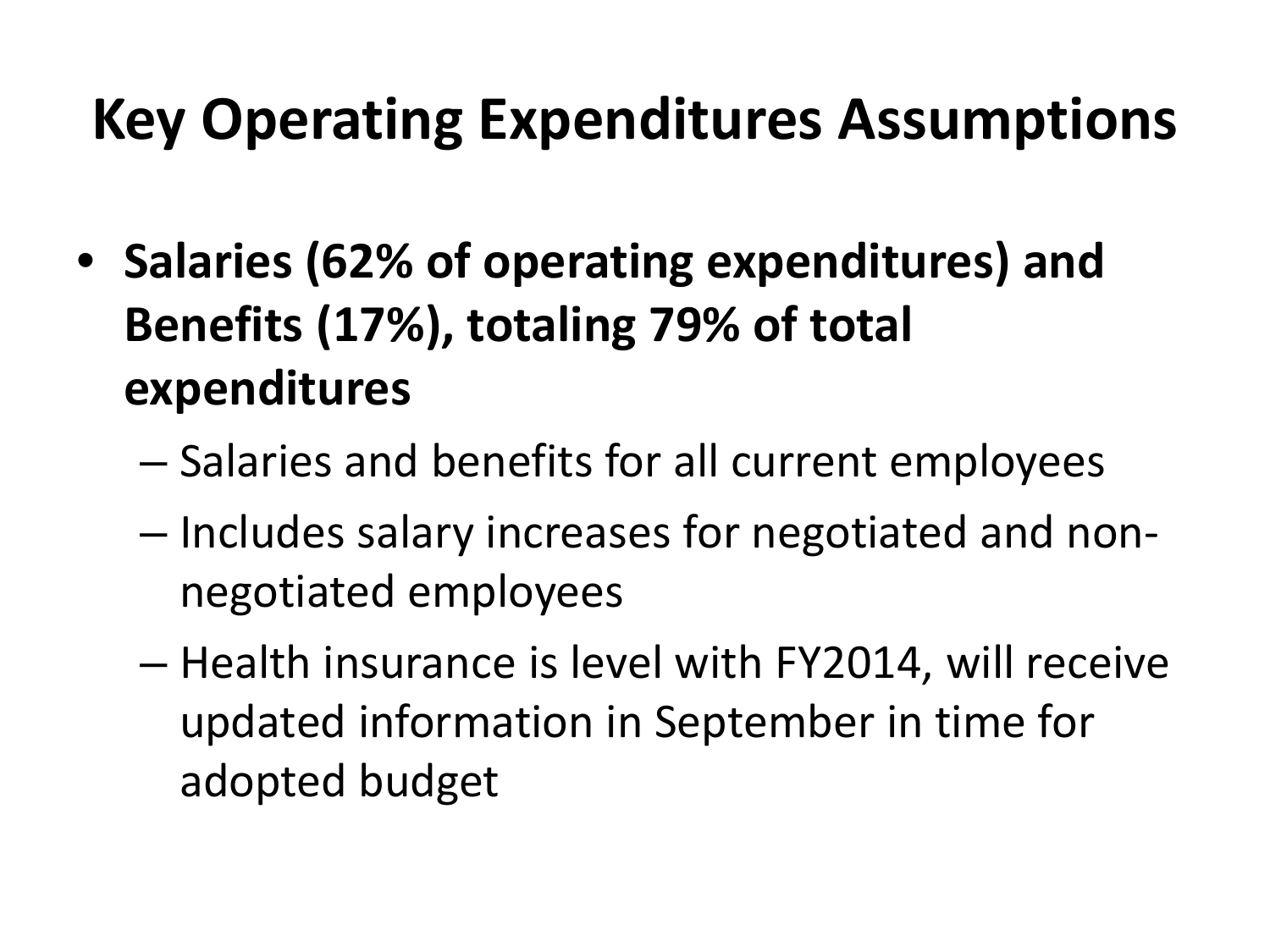### **Key Operating Expenditures Assumptions**

- **Salaries (62% of operating expenditures) and Benefits (17%), totaling 79% of total expenditures**
	- Salaries and benefits for all current employees
	- Includes salary increases for negotiated and nonnegotiated employees
	- Health insurance is level with FY2014, will receive updated information in September in time for adopted budget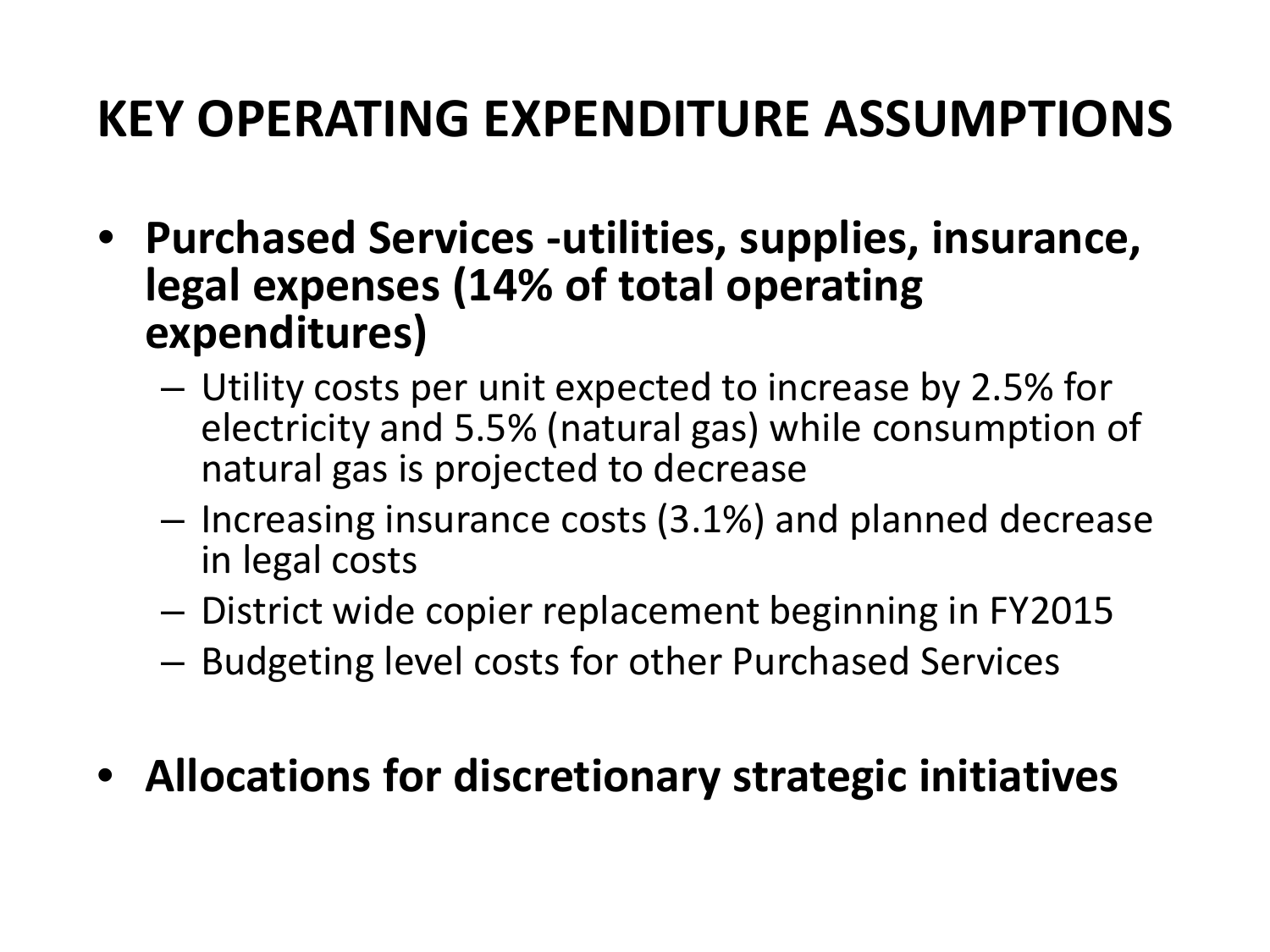### **KEY OPERATING EXPENDITURE ASSUMPTIONS**

- **Purchased Services -utilities, supplies, insurance, legal expenses (14% of total operating expenditures)**
	- Utility costs per unit expected to increase by 2.5% for electricity and 5.5% (natural gas) while consumption of natural gas is projected to decrease
	- Increasing insurance costs (3.1%) and planned decrease in legal costs
	- District wide copier replacement beginning in FY2015
	- Budgeting level costs for other Purchased Services

#### • **Allocations for discretionary strategic initiatives**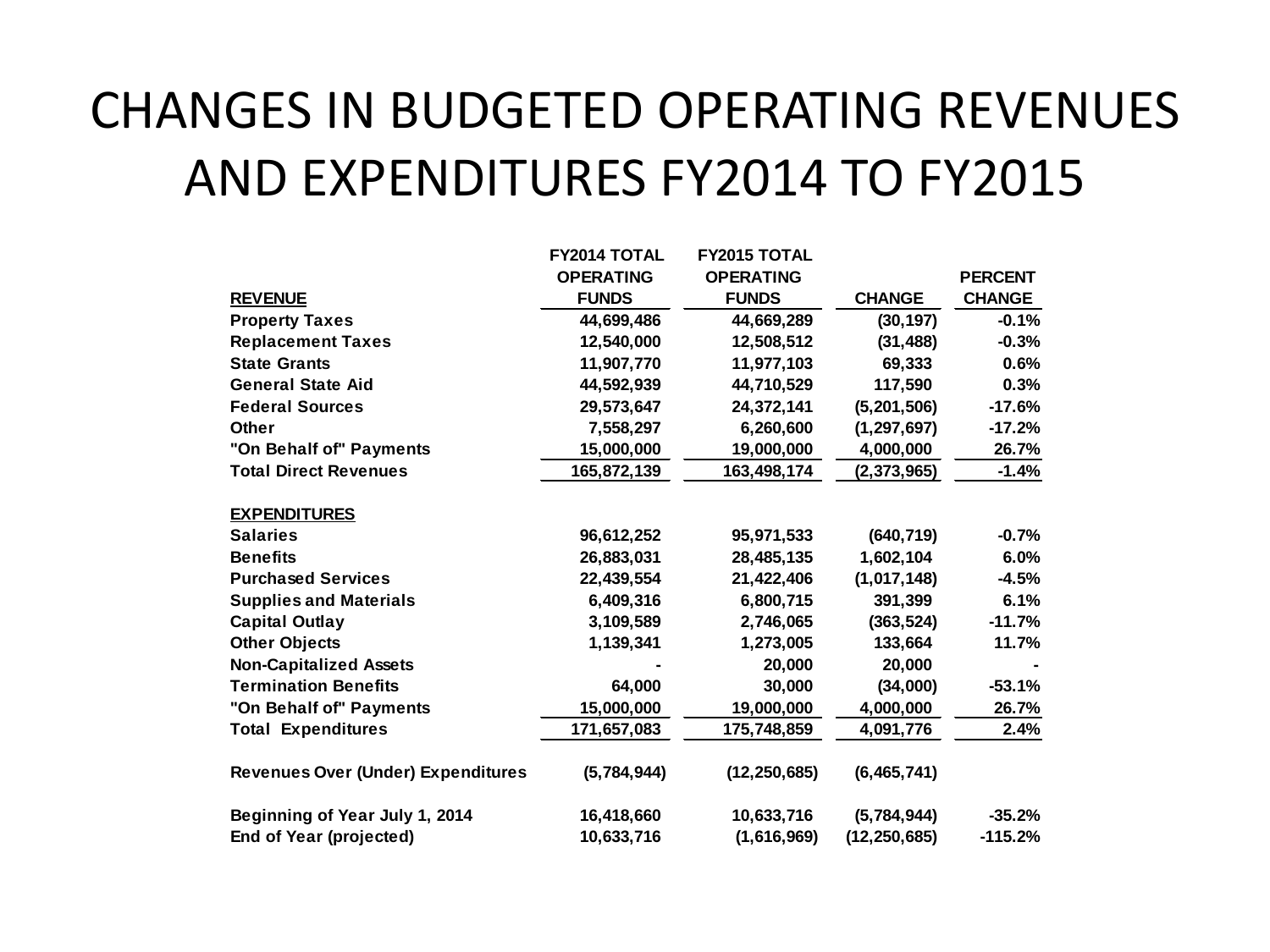### CHANGES IN BUDGETED OPERATING REVENUES AND EXPENDITURES FY2014 TO FY2015

|                                           | FY2014 TOTAL     | <b>FY2015 TOTAL</b> |                |                |
|-------------------------------------------|------------------|---------------------|----------------|----------------|
|                                           | <b>OPERATING</b> | <b>OPERATING</b>    |                | <b>PERCENT</b> |
| <b>REVENUE</b>                            | <b>FUNDS</b>     | <b>FUNDS</b>        | <b>CHANGE</b>  | <b>CHANGE</b>  |
| <b>Property Taxes</b>                     | 44,699,486       | 44,669,289          | (30, 197)      | $-0.1%$        |
| <b>Replacement Taxes</b>                  | 12,540,000       | 12,508,512          | (31, 488)      | $-0.3%$        |
| <b>State Grants</b>                       | 11,907,770       | 11,977,103          | 69,333         | 0.6%           |
| <b>General State Aid</b>                  | 44,592,939       | 44,710,529          | 117.590        | 0.3%           |
| <b>Federal Sources</b>                    | 29,573,647       | 24,372,141          | (5, 201, 506)  | $-17.6%$       |
| <b>Other</b>                              | 7,558,297        | 6,260,600           | (1, 297, 697)  | $-17.2%$       |
| "On Behalf of" Payments                   | 15,000,000       | 19,000,000          | 4,000,000      | 26.7%          |
| <b>Total Direct Revenues</b>              | 165,872,139      | 163,498,174         | (2, 373, 965)  | $-1.4%$        |
| <b>EXPENDITURES</b>                       |                  |                     |                |                |
| <b>Salaries</b>                           | 96,612,252       | 95,971,533          | (640, 719)     | $-0.7%$        |
| <b>Benefits</b>                           | 26,883,031       | 28,485,135          | 1,602,104      | 6.0%           |
| <b>Purchased Services</b>                 | 22,439,554       | 21,422,406          | (1,017,148)    | $-4.5%$        |
| <b>Supplies and Materials</b>             | 6,409,316        | 6,800,715           | 391.399        | 6.1%           |
| <b>Capital Outlay</b>                     | 3,109,589        | 2,746,065           | (363, 524)     | $-11.7%$       |
| <b>Other Objects</b>                      | 1,139,341        | 1,273,005           | 133,664        | 11.7%          |
| <b>Non-Capitalized Assets</b>             |                  | 20,000              | 20,000         |                |
| <b>Termination Benefits</b>               | 64,000           | 30,000              | (34,000)       | $-53.1%$       |
| "On Behalf of" Payments                   | 15,000,000       | 19,000,000          | 4,000,000      | 26.7%          |
| <b>Total Expenditures</b>                 | 171,657,083      | 175,748,859         | 4,091,776      | 2.4%           |
| <b>Revenues Over (Under) Expenditures</b> | (5,784,944)      | (12, 250, 685)      | (6, 465, 741)  |                |
| Beginning of Year July 1, 2014            | 16,418,660       | 10,633,716          | (5,784,944)    | $-35.2%$       |
| End of Year (projected)                   | 10,633,716       | (1,616,969)         | (12, 250, 685) | $-115.2%$      |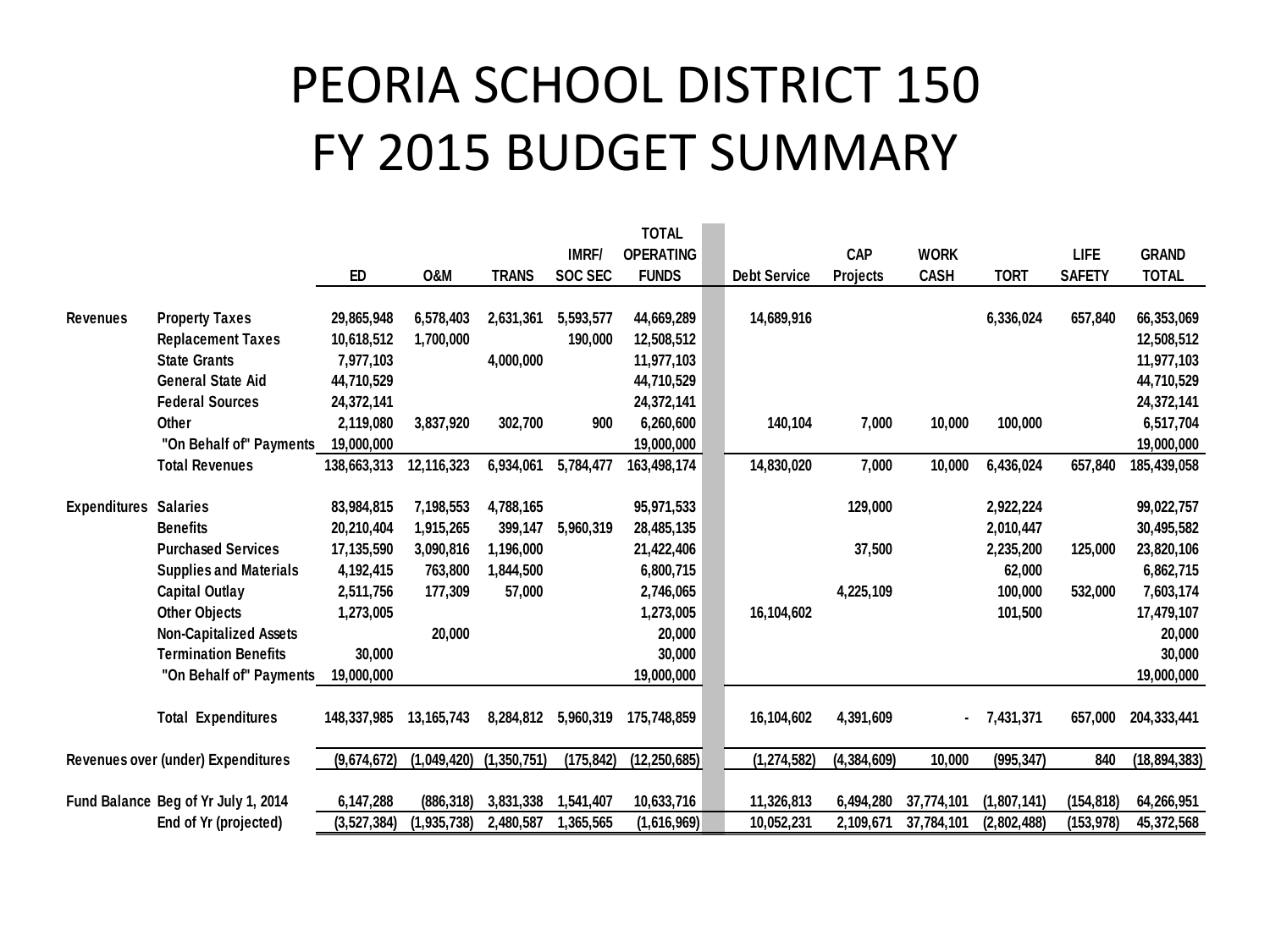### PEORIA SCHOOL DISTRICT 150 FY 2015 BUDGET SUMMARY

| <b>IMRF/</b><br><b>OPERATING</b><br><b>CAP</b><br><b>WORK</b><br>LIFE<br><b>GRAND</b><br>ED<br><b>O&amp;M</b><br><b>SOC SEC</b><br><b>FUNDS</b><br><b>CASH</b><br><b>TORT</b><br><b>TOTAL</b><br><b>TRANS</b><br><b>Debt Service</b><br><b>SAFETY</b><br><b>Projects</b> |           |
|--------------------------------------------------------------------------------------------------------------------------------------------------------------------------------------------------------------------------------------------------------------------------|-----------|
|                                                                                                                                                                                                                                                                          |           |
|                                                                                                                                                                                                                                                                          |           |
|                                                                                                                                                                                                                                                                          |           |
| 66,353,069<br>5,593,577<br>44,669,289<br>14,689,916<br>6,336,024<br>657,840<br><b>Revenues</b><br><b>Property Taxes</b><br>29,865,948<br>6,578,403<br>2,631,361                                                                                                          |           |
| <b>Replacement Taxes</b><br>12,508,512<br>10,618,512<br>1,700,000<br>190,000<br>12,508,512                                                                                                                                                                               |           |
| <b>State Grants</b><br>4,000,000<br>11,977,103<br>7,977,103<br>11,977,103                                                                                                                                                                                                |           |
| <b>General State Aid</b><br>44,710,529<br>44,710,529<br>44,710,529                                                                                                                                                                                                       |           |
| <b>Federal Sources</b><br>24,372,141<br>24,372,141<br>24,372,141                                                                                                                                                                                                         |           |
| 2,119,080<br>302,700<br>10,000<br>100,000<br>6,517,704<br>Other<br>3,837,920<br>900<br>6,260,600<br>140,104<br>7,000                                                                                                                                                     |           |
| "On Behalf of" Payments<br>19,000,000<br>19,000,000<br>19,000,000                                                                                                                                                                                                        |           |
| <b>Total Revenues</b><br>7,000<br>10,000<br>12,116,323<br>6,934,061<br>5,784,477<br>163,498,174<br>14,830,020<br>6,436,024<br>657,840<br>185,439,058<br>138,663,313                                                                                                      |           |
|                                                                                                                                                                                                                                                                          |           |
| 83,984,815<br>99,022,757<br><b>Expenditures</b><br><b>Salaries</b><br>7,198,553<br>4,788,165<br>95,971,533<br>129,000<br>2,922,224                                                                                                                                       |           |
| <b>Benefits</b><br>399,147<br>30,495,582<br>20,210,404<br>1,915,265<br>5,960,319<br>28,485,135<br>2,010,447                                                                                                                                                              |           |
| <b>Purchased Services</b><br>17,135,590<br>3,090,816<br>37,500<br>2,235,200<br>23,820,106<br>1,196,000<br>21,422,406<br>125,000                                                                                                                                          |           |
| 62,000<br><b>Supplies and Materials</b><br>4,192,415<br>763,800<br>1,844,500<br>6,800,715                                                                                                                                                                                | 6,862,715 |
| <b>Capital Outlay</b><br>2,511,756<br>57,000<br>2,746,065<br>4,225,109<br>100,000<br>532,000<br>177,309                                                                                                                                                                  | 7,603,174 |
| <b>Other Objects</b><br>1,273,005<br>101,500<br>1,273,005<br>16,104,602<br>17,479,107                                                                                                                                                                                    |           |
| <b>Non-Capitalized Assets</b><br>20,000<br>20,000                                                                                                                                                                                                                        | 20,000    |
| <b>Termination Benefits</b><br>30,000<br>30,000                                                                                                                                                                                                                          | 30,000    |
| "On Behalf of" Payments<br>19,000,000<br>19,000,000<br>19,000,000                                                                                                                                                                                                        |           |
|                                                                                                                                                                                                                                                                          |           |
| <b>Total Expenditures</b><br>8,284,812<br>175,748,859<br>4,391,609<br>7,431,371<br>204,333,441<br>148,337,985<br>13, 165, 743<br>5,960,319<br>16,104,602<br>657.000                                                                                                      |           |
|                                                                                                                                                                                                                                                                          |           |
| 10,000<br>(18, 894, 383)<br>(9,674,672)<br>(1,049,420)<br>(1,350,751)<br>(175, 842)<br>(12, 250, 685)<br>(1, 274, 582)<br>(4, 384, 609)<br>(995, 347)<br>Revenues over (under) Expenditures<br>840                                                                       |           |
|                                                                                                                                                                                                                                                                          |           |
| 6,147,288<br>3,831,338<br>10,633,716<br>11,326,813<br>(1,807,141)<br>64,266,951<br>Fund Balance Beg of Yr July 1, 2014<br>(886, 318)<br>1,541,407<br>6,494,280<br>37,774,101<br>(154,818)                                                                                |           |
| (3,527,384)<br>(1, 935, 738)<br>2,480,587<br>1,365,565<br>(1,616,969)<br>10,052,231<br>37,784,101<br>(153, 978)<br>45,372,568<br>End of Yr (projected)<br>2,109,671<br>(2,802,488)                                                                                       |           |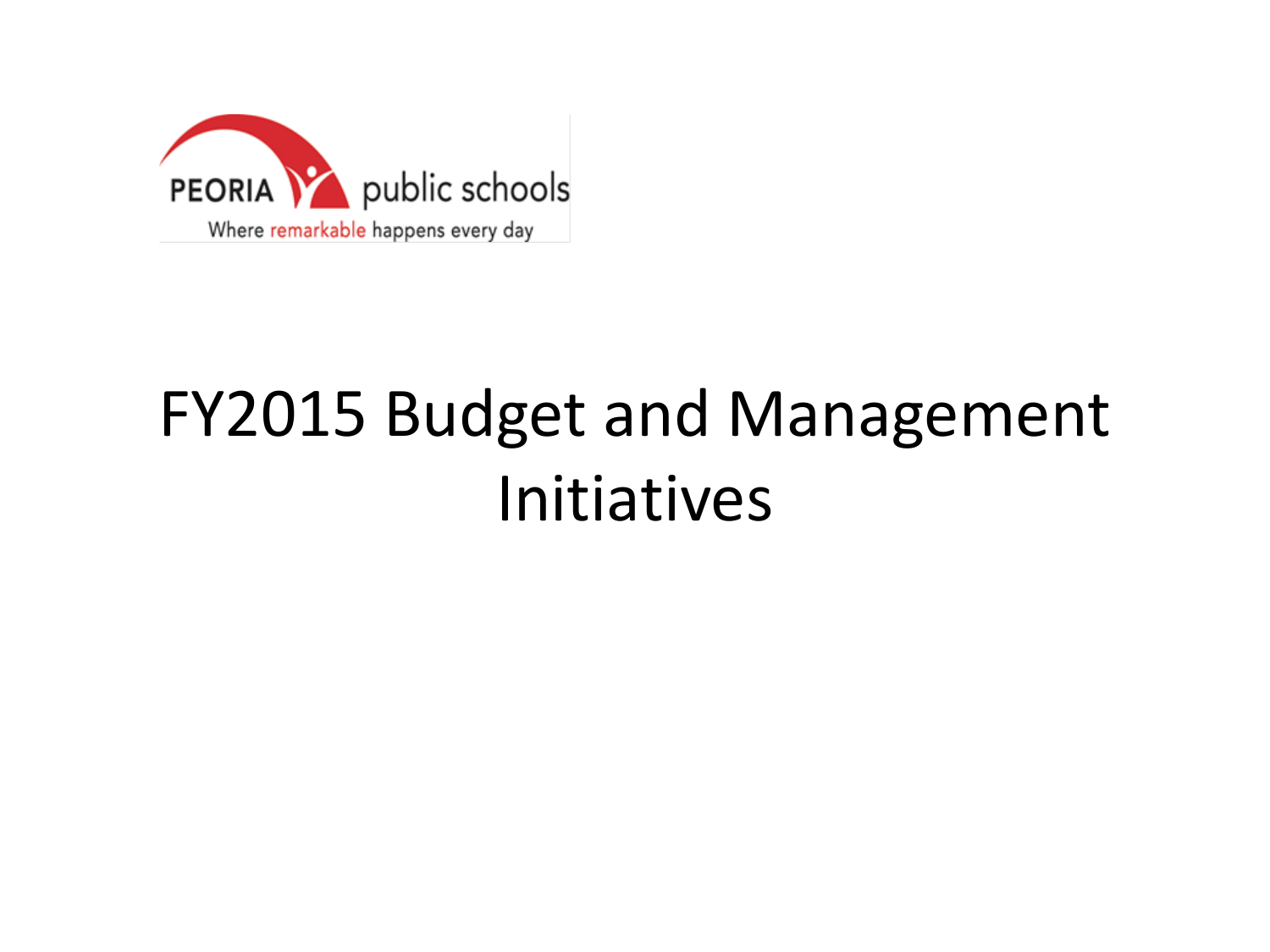

## FY2015 Budget and Management Initiatives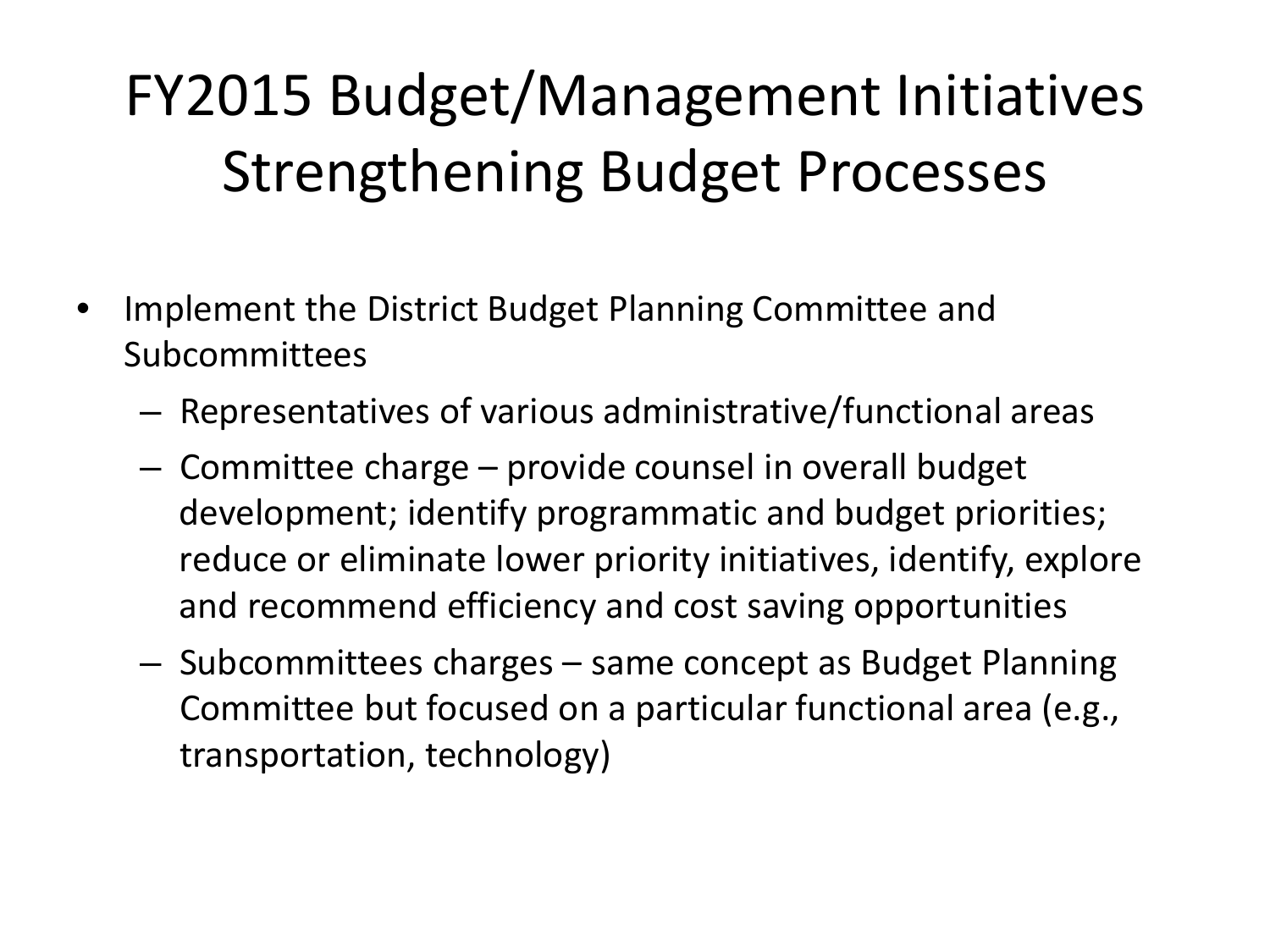### FY2015 Budget/Management Initiatives Strengthening Budget Processes

- Implement the District Budget Planning Committee and Subcommittees
	- Representatives of various administrative/functional areas
	- Committee charge provide counsel in overall budget development; identify programmatic and budget priorities; reduce or eliminate lower priority initiatives, identify, explore and recommend efficiency and cost saving opportunities
	- Subcommittees charges same concept as Budget Planning Committee but focused on a particular functional area (e.g., transportation, technology)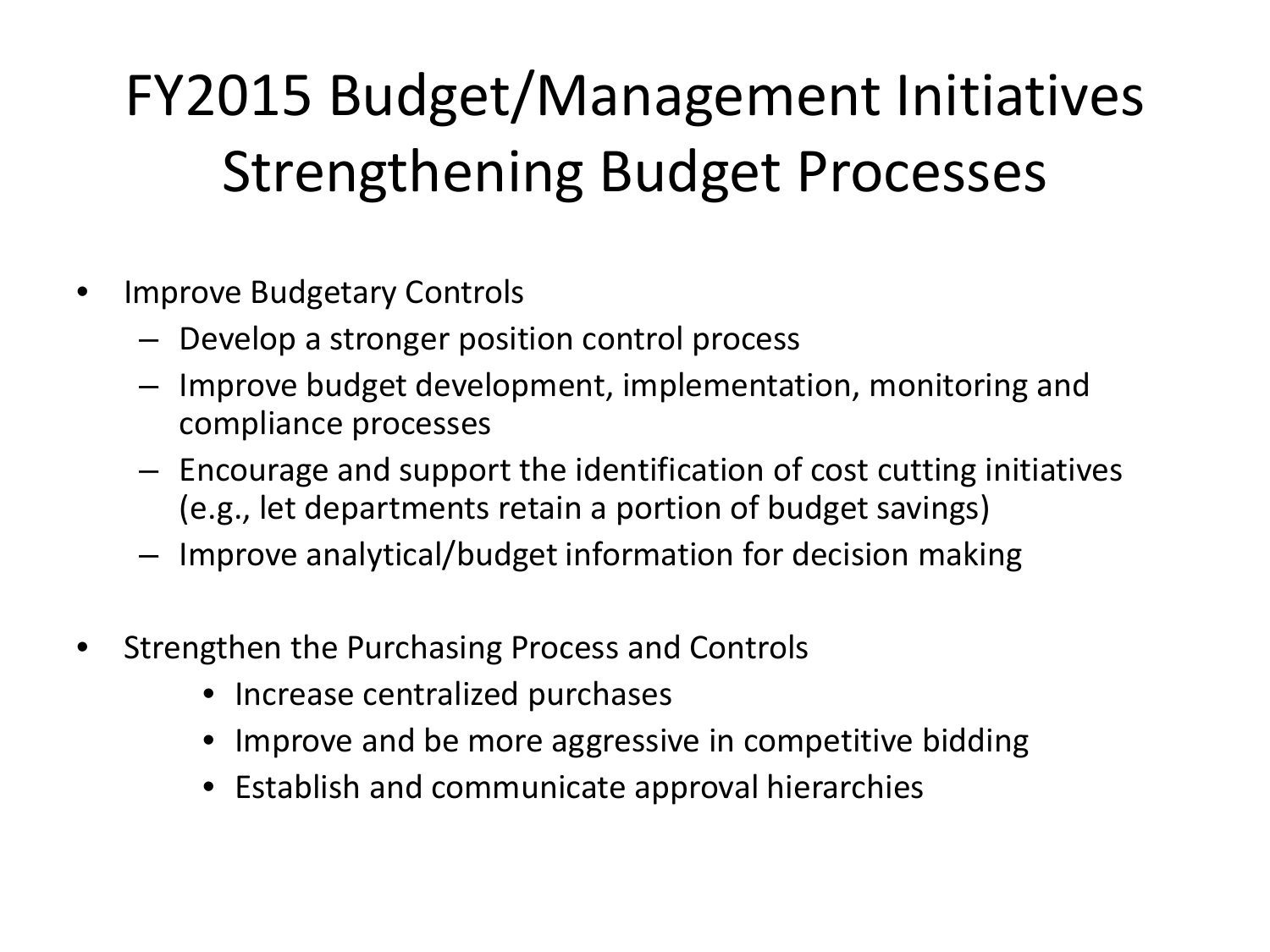### FY2015 Budget/Management Initiatives Strengthening Budget Processes

- Improve Budgetary Controls
	- Develop a stronger position control process
	- Improve budget development, implementation, monitoring and compliance processes
	- Encourage and support the identification of cost cutting initiatives (e.g., let departments retain a portion of budget savings)
	- Improve analytical/budget information for decision making
- Strengthen the Purchasing Process and Controls
	- Increase centralized purchases
	- Improve and be more aggressive in competitive bidding
	- Establish and communicate approval hierarchies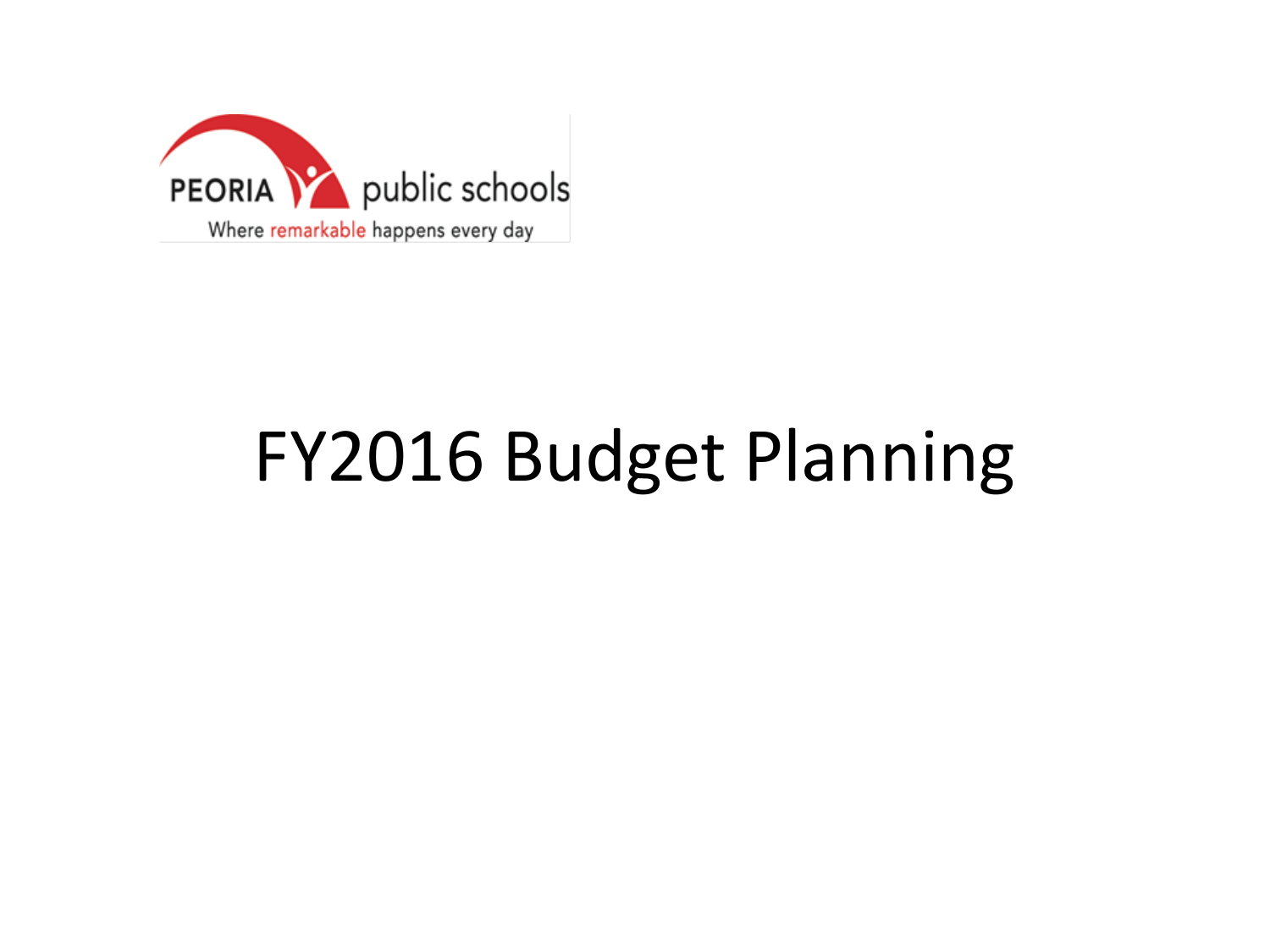

# FY2016 Budget Planning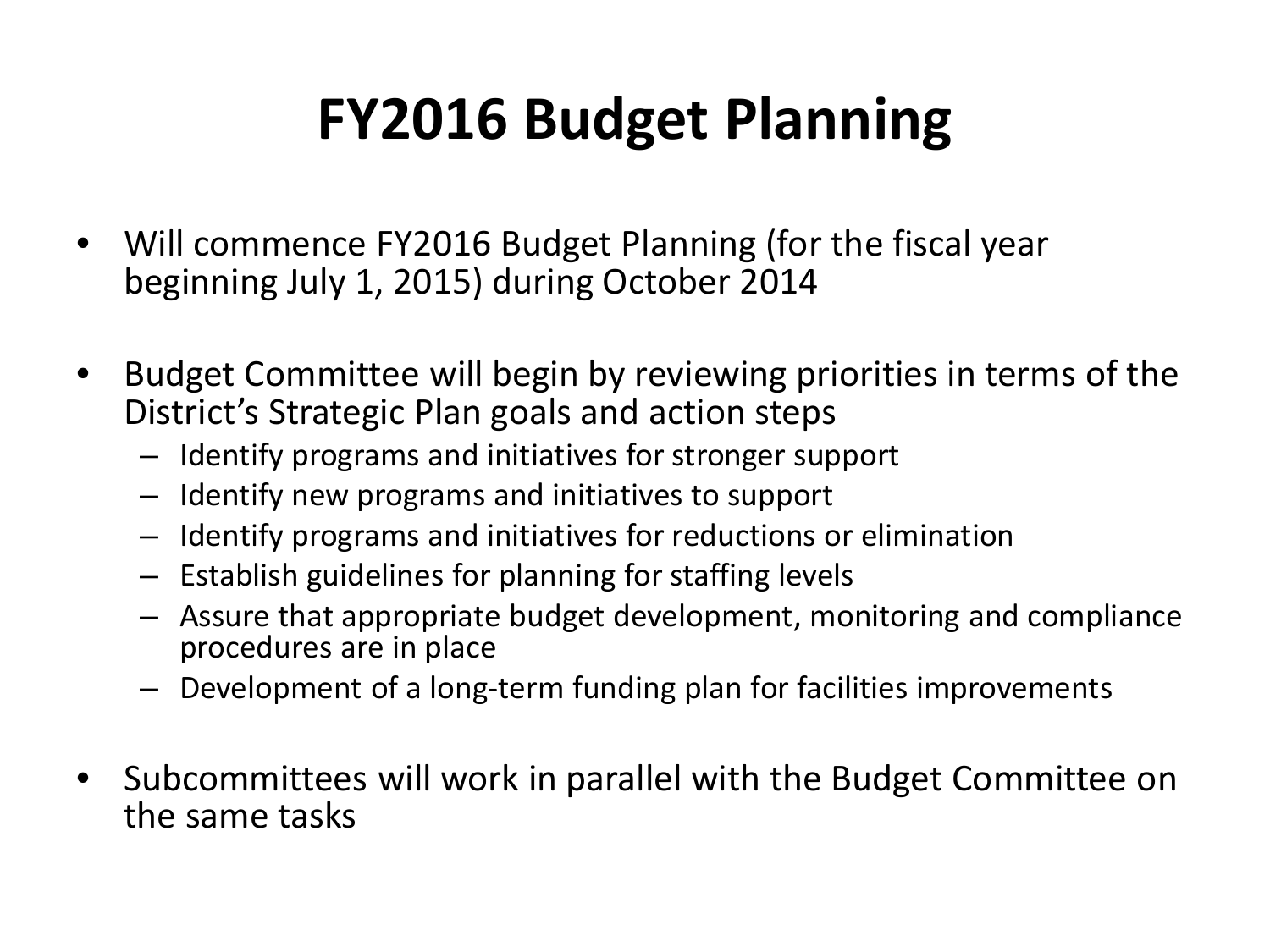### **FY2016 Budget Planning**

- Will commence FY2016 Budget Planning (for the fiscal year beginning July 1, 2015) during October 2014
- Budget Committee will begin by reviewing priorities in terms of the District's Strategic Plan goals and action steps
	- Identify programs and initiatives for stronger support
	- Identify new programs and initiatives to support
	- Identify programs and initiatives for reductions or elimination
	- Establish guidelines for planning for staffing levels
	- Assure that appropriate budget development, monitoring and compliance procedures are in place
	- Development of a long-term funding plan for facilities improvements
- Subcommittees will work in parallel with the Budget Committee on the same tasks